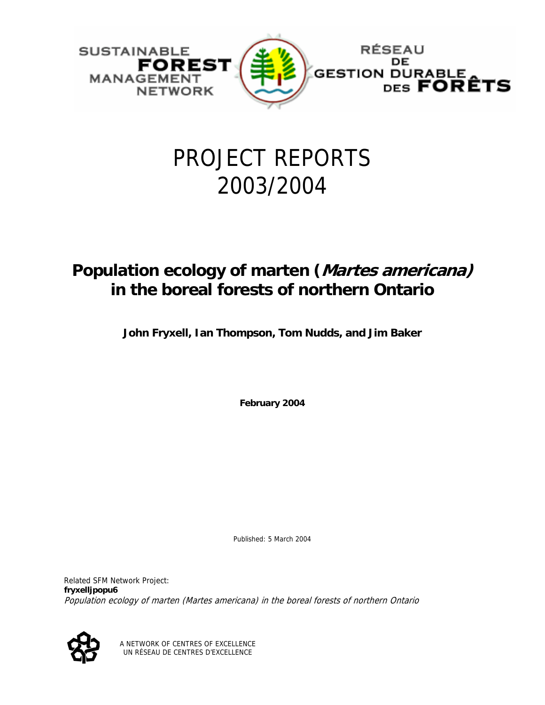

# PROJECT REPORTS 2003/2004

# **Population ecology of marten (Martes americana) in the boreal forests of northern Ontario**

**John Fryxell, Ian Thompson, Tom Nudds, and Jim Baker** 

**February 2004** 

Published: 5 March 2004

Related SFM Network Project: **fryxelljpopu6**  Population ecology of marten (Martes americana) in the boreal forests of northern Ontario



A NETWORK OF CENTRES OF EXCELLENCE UN RÉSEAU DE CENTRES D'EXCELLENCE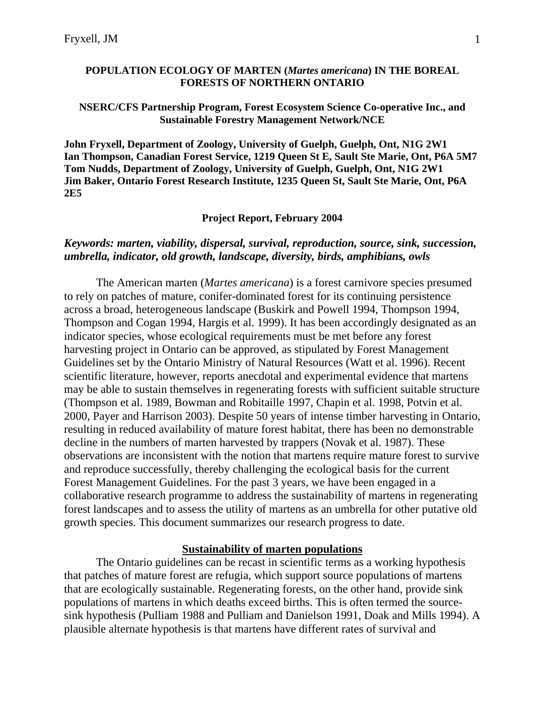#### **POPULATION ECOLOGY OF MARTEN (***Martes americana***) IN THE BOREAL FORESTS OF NORTHERN ONTARIO**

#### **NSERC/CFS Partnership Program, Forest Ecosystem Science Co-operative Inc., and Sustainable Forestry Management Network/NCE**

**John Fryxell, Department of Zoology, University of Guelph, Guelph, Ont, N1G 2W1 Ian Thompson, Canadian Forest Service, 1219 Queen St E, Sault Ste Marie, Ont, P6A 5M7 Tom Nudds, Department of Zoology, University of Guelph, Guelph, Ont, N1G 2W1 Jim Baker, Ontario Forest Research Institute, 1235 Queen St, Sault Ste Marie, Ont, P6A 2E5** 

**Project Report, February 2004** 

#### *Keywords: marten, viability, dispersal, survival, reproduction, source, sink, succession, umbrella, indicator, old growth, landscape, diversity, birds, amphibians, owls*

The American marten (*Martes americana*) is a forest carnivore species presumed to rely on patches of mature, conifer-dominated forest for its continuing persistence across a broad, heterogeneous landscape (Buskirk and Powell 1994, Thompson 1994, Thompson and Cogan 1994, Hargis et al. 1999). It has been accordingly designated as an indicator species, whose ecological requirements must be met before any forest harvesting project in Ontario can be approved, as stipulated by Forest Management Guidelines set by the Ontario Ministry of Natural Resources (Watt et al. 1996). Recent scientific literature, however, reports anecdotal and experimental evidence that martens may be able to sustain themselves in regenerating forests with sufficient suitable structure (Thompson et al. 1989, Bowman and Robitaille 1997, Chapin et al. 1998, Potvin et al. 2000, Payer and Harrison 2003). Despite 50 years of intense timber harvesting in Ontario, resulting in reduced availability of mature forest habitat, there has been no demonstrable decline in the numbers of marten harvested by trappers (Novak et al. 1987). These observations are inconsistent with the notion that martens require mature forest to survive and reproduce successfully, thereby challenging the ecological basis for the current Forest Management Guidelines. For the past 3 years, we have been engaged in a collaborative research programme to address the sustainability of martens in regenerating forest landscapes and to assess the utility of martens as an umbrella for other putative old growth species. This document summarizes our research progress to date.

## **Sustainability of marten populations**

The Ontario guidelines can be recast in scientific terms as a working hypothesis that patches of mature forest are refugia, which support source populations of martens that are ecologically sustainable. Regenerating forests, on the other hand, provide sink populations of martens in which deaths exceed births. This is often termed the sourcesink hypothesis (Pulliam 1988 and Pulliam and Danielson 1991, Doak and Mills 1994). A plausible alternate hypothesis is that martens have different rates of survival and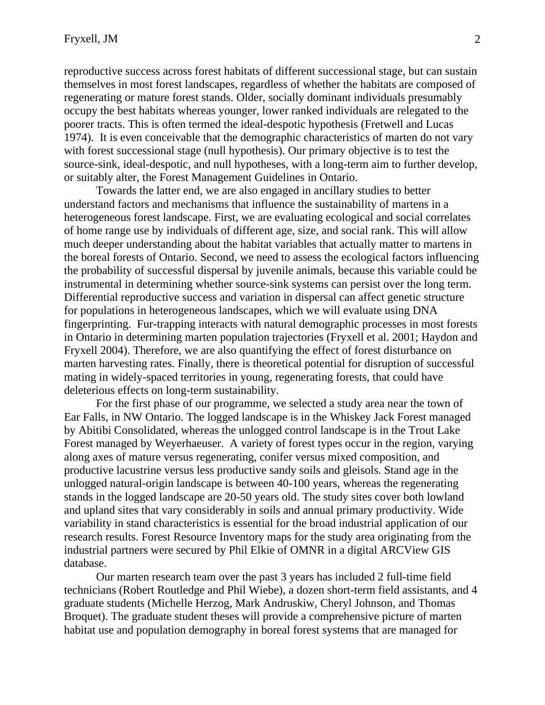reproductive success across forest habitats of different successional stage, but can sustain themselves in most forest landscapes, regardless of whether the habitats are composed of regenerating or mature forest stands. Older, socially dominant individuals presumably occupy the best habitats whereas younger, lower ranked individuals are relegated to the poorer tracts. This is often termed the ideal-despotic hypothesis (Fretwell and Lucas 1974). It is even conceivable that the demographic characteristics of marten do not vary with forest successional stage (null hypothesis). Our primary objective is to test the source-sink, ideal-despotic, and null hypotheses, with a long-term aim to further develop, or suitably alter, the Forest Management Guidelines in Ontario.

Towards the latter end, we are also engaged in ancillary studies to better understand factors and mechanisms that influence the sustainability of martens in a heterogeneous forest landscape. First, we are evaluating ecological and social correlates of home range use by individuals of different age, size, and social rank. This will allow much deeper understanding about the habitat variables that actually matter to martens in the boreal forests of Ontario. Second, we need to assess the ecological factors influencing the probability of successful dispersal by juvenile animals, because this variable could be instrumental in determining whether source-sink systems can persist over the long term. Differential reproductive success and variation in dispersal can affect genetic structure for populations in heterogeneous landscapes, which we will evaluate using DNA fingerprinting. Fur-trapping interacts with natural demographic processes in most forests in Ontario in determining marten population trajectories (Fryxell et al. 2001; Haydon and Fryxell 2004). Therefore, we are also quantifying the effect of forest disturbance on marten harvesting rates. Finally, there is theoretical potential for disruption of successful mating in widely-spaced territories in young, regenerating forests, that could have deleterious effects on long-term sustainability.

For the first phase of our programme, we selected a study area near the town of Ear Falls, in NW Ontario. The logged landscape is in the Whiskey Jack Forest managed by Abitibi Consolidated, whereas the unlogged control landscape is in the Trout Lake Forest managed by Weyerhaeuser. A variety of forest types occur in the region, varying along axes of mature versus regenerating, conifer versus mixed composition, and productive lacustrine versus less productive sandy soils and gleisols. Stand age in the unlogged natural-origin landscape is between 40-100 years, whereas the regenerating stands in the logged landscape are 20-50 years old. The study sites cover both lowland and upland sites that vary considerably in soils and annual primary productivity. Wide variability in stand characteristics is essential for the broad industrial application of our research results. Forest Resource Inventory maps for the study area originating from the industrial partners were secured by Phil Elkie of OMNR in a digital ARCView GIS database.

Our marten research team over the past 3 years has included 2 full-time field technicians (Robert Routledge and Phil Wiebe), a dozen short-term field assistants, and 4 graduate students (Michelle Herzog, Mark Andruskiw, Cheryl Johnson, and Thomas Broquet). The graduate student theses will provide a comprehensive picture of marten habitat use and population demography in boreal forest systems that are managed for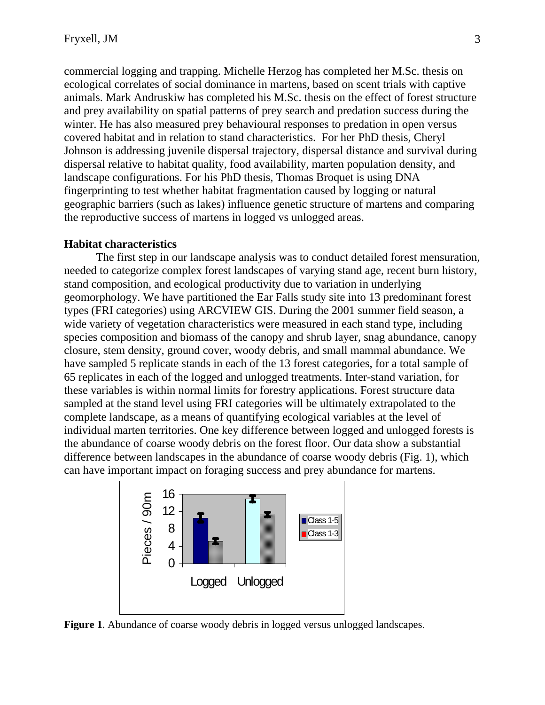commercial logging and trapping. Michelle Herzog has completed her M.Sc. thesis on ecological correlates of social dominance in martens, based on scent trials with captive animals. Mark Andruskiw has completed his M.Sc. thesis on the effect of forest structure and prey availability on spatial patterns of prey search and predation success during the winter. He has also measured prey behavioural responses to predation in open versus covered habitat and in relation to stand characteristics. For her PhD thesis, Cheryl Johnson is addressing juvenile dispersal trajectory, dispersal distance and survival during dispersal relative to habitat quality, food availability, marten population density, and landscape configurations. For his PhD thesis, Thomas Broquet is using DNA fingerprinting to test whether habitat fragmentation caused by logging or natural geographic barriers (such as lakes) influence genetic structure of martens and comparing the reproductive success of martens in logged vs unlogged areas.

#### **Habitat characteristics**

The first step in our landscape analysis was to conduct detailed forest mensuration, needed to categorize complex forest landscapes of varying stand age, recent burn history, stand composition, and ecological productivity due to variation in underlying geomorphology. We have partitioned the Ear Falls study site into 13 predominant forest types (FRI categories) using ARCVIEW GIS. During the 2001 summer field season, a wide variety of vegetation characteristics were measured in each stand type, including species composition and biomass of the canopy and shrub layer, snag abundance, canopy closure, stem density, ground cover, woody debris, and small mammal abundance. We have sampled 5 replicate stands in each of the 13 forest categories, for a total sample of 65 replicates in each of the logged and unlogged treatments. Inter-stand variation, for these variables is within normal limits for forestry applications. Forest structure data sampled at the stand level using FRI categories will be ultimately extrapolated to the complete landscape, as a means of quantifying ecological variables at the level of individual marten territories. One key difference between logged and unlogged forests is the abundance of coarse woody debris on the forest floor. Our data show a substantial difference between landscapes in the abundance of coarse woody debris (Fig. 1), which can have important impact on foraging success and prey abundance for martens.



**Figure 1**. Abundance of coarse woody debris in logged versus unlogged landscapes.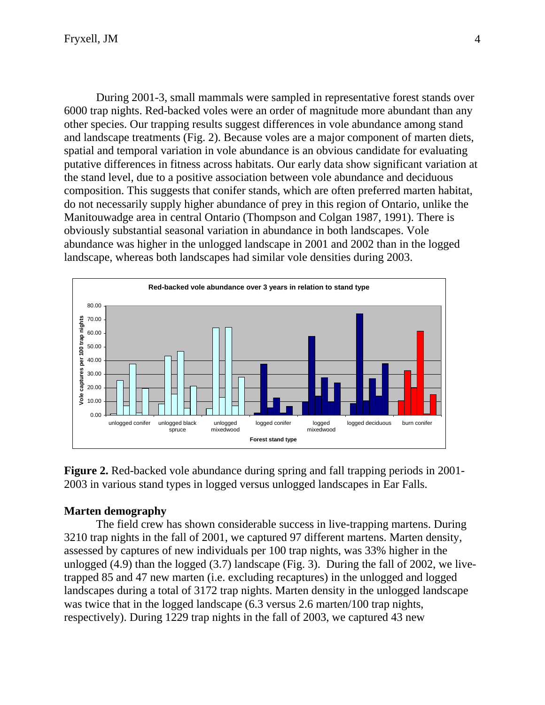During 2001-3, small mammals were sampled in representative forest stands over 6000 trap nights. Red-backed voles were an order of magnitude more abundant than any other species. Our trapping results suggest differences in vole abundance among stand and landscape treatments (Fig. 2). Because voles are a major component of marten diets, spatial and temporal variation in vole abundance is an obvious candidate for evaluating putative differences in fitness across habitats. Our early data show significant variation at the stand level, due to a positive association between vole abundance and deciduous composition. This suggests that conifer stands, which are often preferred marten habitat, do not necessarily supply higher abundance of prey in this region of Ontario, unlike the Manitouwadge area in central Ontario (Thompson and Colgan 1987, 1991). There is obviously substantial seasonal variation in abundance in both landscapes. Vole abundance was higher in the unlogged landscape in 2001 and 2002 than in the logged landscape, whereas both landscapes had similar vole densities during 2003.



**Figure 2.** Red-backed vole abundance during spring and fall trapping periods in 2001- 2003 in various stand types in logged versus unlogged landscapes in Ear Falls.

# **Marten demography**

The field crew has shown considerable success in live-trapping martens. During 3210 trap nights in the fall of 2001, we captured 97 different martens. Marten density, assessed by captures of new individuals per 100 trap nights, was 33% higher in the unlogged (4.9) than the logged (3.7) landscape (Fig. 3). During the fall of 2002, we livetrapped 85 and 47 new marten (i.e. excluding recaptures) in the unlogged and logged landscapes during a total of 3172 trap nights. Marten density in the unlogged landscape was twice that in the logged landscape (6.3 versus 2.6 marten/100 trap nights, respectively). During 1229 trap nights in the fall of 2003, we captured 43 new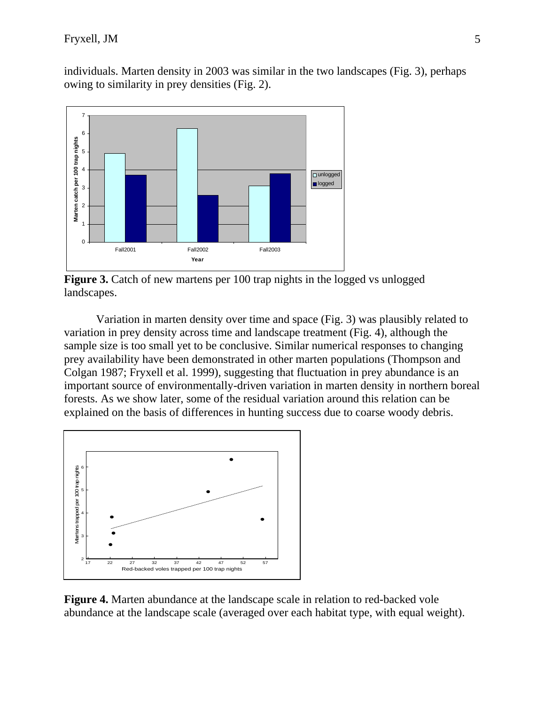individuals. Marten density in 2003 was similar in the two landscapes (Fig. 3), perhaps owing to similarity in prey densities (Fig. 2).



**Figure 3.** Catch of new martens per 100 trap nights in the logged vs unlogged landscapes.

Variation in marten density over time and space (Fig. 3) was plausibly related to variation in prey density across time and landscape treatment (Fig. 4), although the sample size is too small yet to be conclusive. Similar numerical responses to changing prey availability have been demonstrated in other marten populations (Thompson and Colgan 1987; Fryxell et al. 1999), suggesting that fluctuation in prey abundance is an important source of environmentally-driven variation in marten density in northern boreal forests. As we show later, some of the residual variation around this relation can be explained on the basis of differences in hunting success due to coarse woody debris.



**Figure 4.** Marten abundance at the landscape scale in relation to red-backed vole abundance at the landscape scale (averaged over each habitat type, with equal weight).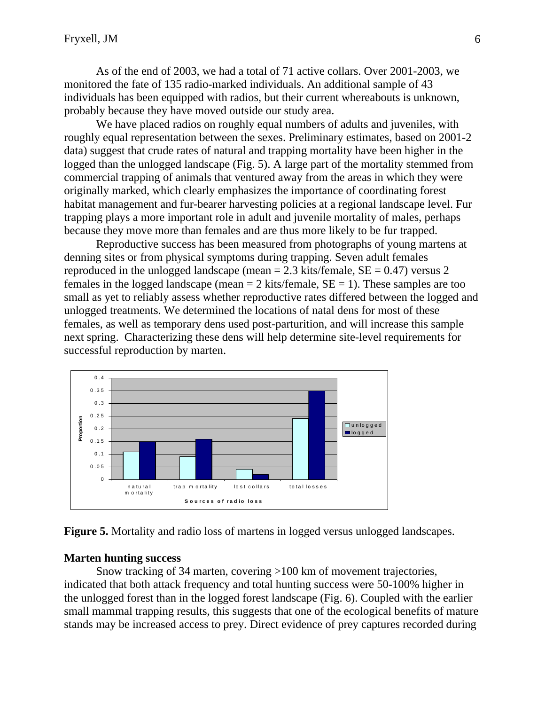As of the end of 2003, we had a total of 71 active collars. Over 2001-2003, we monitored the fate of 135 radio-marked individuals. An additional sample of 43 individuals has been equipped with radios, but their current whereabouts is unknown, probably because they have moved outside our study area.

We have placed radios on roughly equal numbers of adults and juveniles, with roughly equal representation between the sexes. Preliminary estimates, based on 2001-2 data) suggest that crude rates of natural and trapping mortality have been higher in the logged than the unlogged landscape (Fig. 5). A large part of the mortality stemmed from commercial trapping of animals that ventured away from the areas in which they were originally marked, which clearly emphasizes the importance of coordinating forest habitat management and fur-bearer harvesting policies at a regional landscape level. Fur trapping plays a more important role in adult and juvenile mortality of males, perhaps because they move more than females and are thus more likely to be fur trapped.

Reproductive success has been measured from photographs of young martens at denning sites or from physical symptoms during trapping. Seven adult females reproduced in the unlogged landscape (mean  $= 2.3$  kits/female,  $SE = 0.47$ ) versus 2 females in the logged landscape (mean  $= 2$  kits/female,  $SE = 1$ ). These samples are too small as yet to reliably assess whether reproductive rates differed between the logged and unlogged treatments. We determined the locations of natal dens for most of these females, as well as temporary dens used post-parturition, and will increase this sample next spring. Characterizing these dens will help determine site-level requirements for successful reproduction by marten.



**Figure 5.** Mortality and radio loss of martens in logged versus unlogged landscapes.

#### **Marten hunting success**

 Snow tracking of 34 marten, covering >100 km of movement trajectories, indicated that both attack frequency and total hunting success were 50-100% higher in the unlogged forest than in the logged forest landscape (Fig. 6). Coupled with the earlier small mammal trapping results, this suggests that one of the ecological benefits of mature stands may be increased access to prey. Direct evidence of prey captures recorded during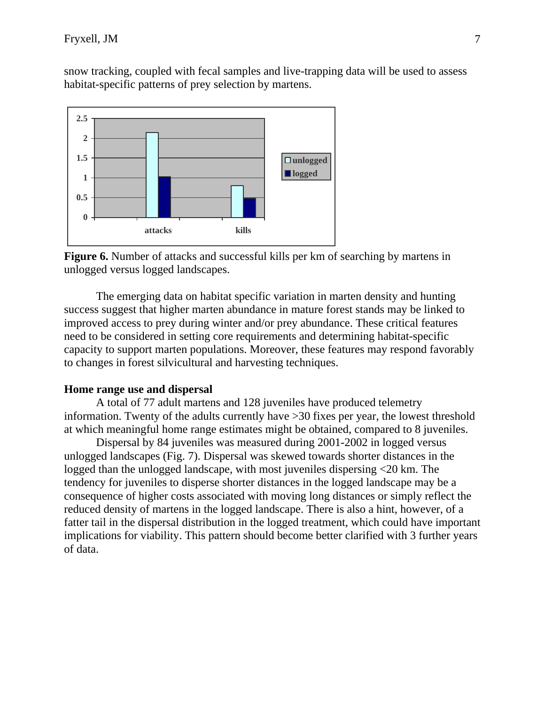snow tracking, coupled with fecal samples and live-trapping data will be used to assess habitat-specific patterns of prey selection by martens.



**Figure 6.** Number of attacks and successful kills per km of searching by martens in unlogged versus logged landscapes.

The emerging data on habitat specific variation in marten density and hunting success suggest that higher marten abundance in mature forest stands may be linked to improved access to prey during winter and/or prey abundance. These critical features need to be considered in setting core requirements and determining habitat-specific capacity to support marten populations. Moreover, these features may respond favorably to changes in forest silvicultural and harvesting techniques.

# **Home range use and dispersal**

A total of 77 adult martens and 128 juveniles have produced telemetry information. Twenty of the adults currently have >30 fixes per year, the lowest threshold at which meaningful home range estimates might be obtained, compared to 8 juveniles.

Dispersal by 84 juveniles was measured during 2001-2002 in logged versus unlogged landscapes (Fig. 7). Dispersal was skewed towards shorter distances in the logged than the unlogged landscape, with most juveniles dispersing <20 km. The tendency for juveniles to disperse shorter distances in the logged landscape may be a consequence of higher costs associated with moving long distances or simply reflect the reduced density of martens in the logged landscape. There is also a hint, however, of a fatter tail in the dispersal distribution in the logged treatment, which could have important implications for viability. This pattern should become better clarified with 3 further years of data.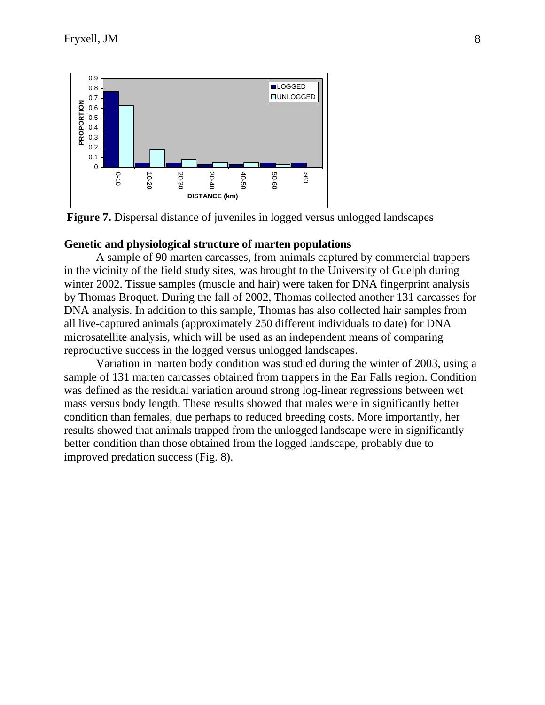

**Figure 7.** Dispersal distance of juveniles in logged versus unlogged landscapes

#### **Genetic and physiological structure of marten populations**

A sample of 90 marten carcasses, from animals captured by commercial trappers in the vicinity of the field study sites, was brought to the University of Guelph during winter 2002. Tissue samples (muscle and hair) were taken for DNA fingerprint analysis by Thomas Broquet. During the fall of 2002, Thomas collected another 131 carcasses for DNA analysis. In addition to this sample, Thomas has also collected hair samples from all live-captured animals (approximately 250 different individuals to date) for DNA microsatellite analysis, which will be used as an independent means of comparing reproductive success in the logged versus unlogged landscapes.

Variation in marten body condition was studied during the winter of 2003, using a sample of 131 marten carcasses obtained from trappers in the Ear Falls region. Condition was defined as the residual variation around strong log-linear regressions between wet mass versus body length. These results showed that males were in significantly better condition than females, due perhaps to reduced breeding costs. More importantly, her results showed that animals trapped from the unlogged landscape were in significantly better condition than those obtained from the logged landscape, probably due to improved predation success (Fig. 8).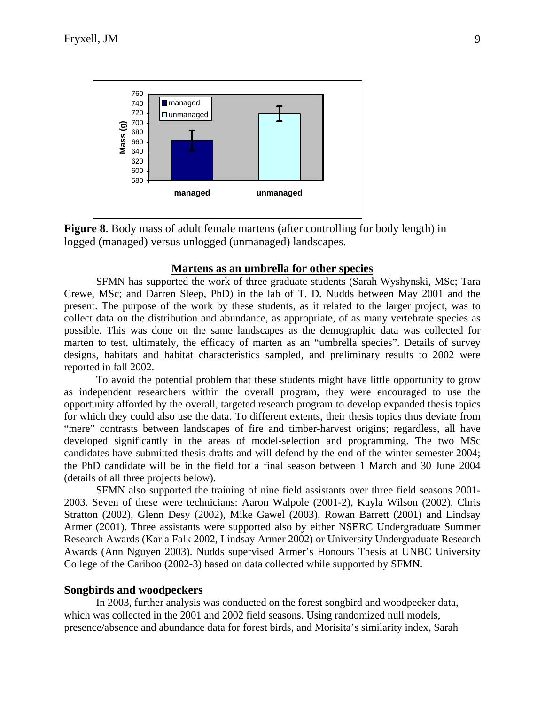



#### **Martens as an umbrella for other species**

SFMN has supported the work of three graduate students (Sarah Wyshynski, MSc; Tara Crewe, MSc; and Darren Sleep, PhD) in the lab of T. D. Nudds between May 2001 and the present. The purpose of the work by these students, as it related to the larger project, was to collect data on the distribution and abundance, as appropriate, of as many vertebrate species as possible. This was done on the same landscapes as the demographic data was collected for marten to test, ultimately, the efficacy of marten as an "umbrella species". Details of survey designs, habitats and habitat characteristics sampled, and preliminary results to 2002 were reported in fall 2002.

To avoid the potential problem that these students might have little opportunity to grow as independent researchers within the overall program, they were encouraged to use the opportunity afforded by the overall, targeted research program to develop expanded thesis topics for which they could also use the data. To different extents, their thesis topics thus deviate from "mere" contrasts between landscapes of fire and timber-harvest origins; regardless, all have developed significantly in the areas of model-selection and programming. The two MSc candidates have submitted thesis drafts and will defend by the end of the winter semester 2004; the PhD candidate will be in the field for a final season between 1 March and 30 June 2004 (details of all three projects below).

SFMN also supported the training of nine field assistants over three field seasons 2001- 2003. Seven of these were technicians: Aaron Walpole (2001-2), Kayla Wilson (2002), Chris Stratton (2002), Glenn Desy (2002), Mike Gawel (2003), Rowan Barrett (2001) and Lindsay Armer (2001). Three assistants were supported also by either NSERC Undergraduate Summer Research Awards (Karla Falk 2002, Lindsay Armer 2002) or University Undergraduate Research Awards (Ann Nguyen 2003). Nudds supervised Armer's Honours Thesis at UNBC University College of the Cariboo (2002-3) based on data collected while supported by SFMN.

#### **Songbirds and woodpeckers**

In 2003, further analysis was conducted on the forest songbird and woodpecker data, which was collected in the 2001 and 2002 field seasons. Using randomized null models, presence/absence and abundance data for forest birds, and Morisita's similarity index, Sarah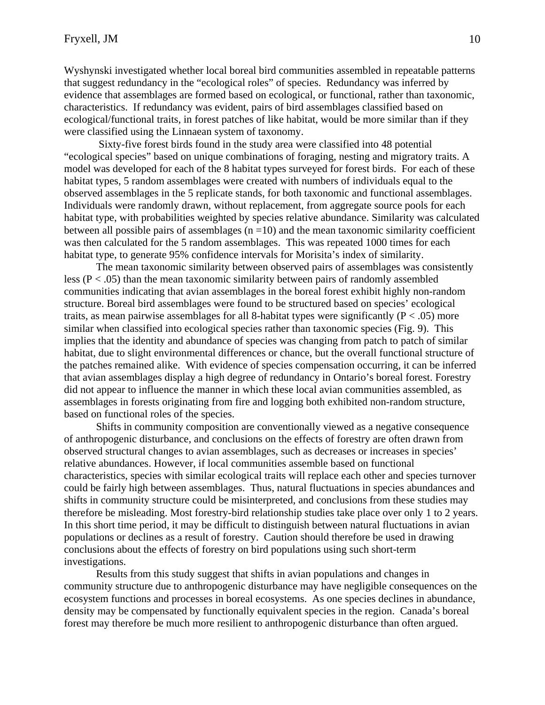Wyshynski investigated whether local boreal bird communities assembled in repeatable patterns that suggest redundancy in the "ecological roles" of species. Redundancy was inferred by evidence that assemblages are formed based on ecological, or functional, rather than taxonomic, characteristics. If redundancy was evident, pairs of bird assemblages classified based on ecological/functional traits, in forest patches of like habitat, would be more similar than if they were classified using the Linnaean system of taxonomy.

 Sixty-five forest birds found in the study area were classified into 48 potential "ecological species" based on unique combinations of foraging, nesting and migratory traits. A model was developed for each of the 8 habitat types surveyed for forest birds. For each of these habitat types, 5 random assemblages were created with numbers of individuals equal to the observed assemblages in the 5 replicate stands, for both taxonomic and functional assemblages. Individuals were randomly drawn, without replacement, from aggregate source pools for each habitat type, with probabilities weighted by species relative abundance. Similarity was calculated between all possible pairs of assemblages  $(n = 10)$  and the mean taxonomic similarity coefficient was then calculated for the 5 random assemblages. This was repeated 1000 times for each habitat type, to generate 95% confidence intervals for Morisita's index of similarity.

The mean taxonomic similarity between observed pairs of assemblages was consistently less ( $P < .05$ ) than the mean taxonomic similarity between pairs of randomly assembled communities indicating that avian assemblages in the boreal forest exhibit highly non-random structure. Boreal bird assemblages were found to be structured based on species' ecological traits, as mean pairwise assemblages for all 8-habitat types were significantly  $(P < .05)$  more similar when classified into ecological species rather than taxonomic species (Fig. 9). This implies that the identity and abundance of species was changing from patch to patch of similar habitat, due to slight environmental differences or chance, but the overall functional structure of the patches remained alike. With evidence of species compensation occurring, it can be inferred that avian assemblages display a high degree of redundancy in Ontario's boreal forest. Forestry did not appear to influence the manner in which these local avian communities assembled, as assemblages in forests originating from fire and logging both exhibited non-random structure, based on functional roles of the species.

Shifts in community composition are conventionally viewed as a negative consequence of anthropogenic disturbance, and conclusions on the effects of forestry are often drawn from observed structural changes to avian assemblages, such as decreases or increases in species' relative abundances. However, if local communities assemble based on functional characteristics, species with similar ecological traits will replace each other and species turnover could be fairly high between assemblages. Thus, natural fluctuations in species abundances and shifts in community structure could be misinterpreted, and conclusions from these studies may therefore be misleading. Most forestry-bird relationship studies take place over only 1 to 2 years. In this short time period, it may be difficult to distinguish between natural fluctuations in avian populations or declines as a result of forestry. Caution should therefore be used in drawing conclusions about the effects of forestry on bird populations using such short-term investigations.

Results from this study suggest that shifts in avian populations and changes in community structure due to anthropogenic disturbance may have negligible consequences on the ecosystem functions and processes in boreal ecosystems. As one species declines in abundance, density may be compensated by functionally equivalent species in the region. Canada's boreal forest may therefore be much more resilient to anthropogenic disturbance than often argued.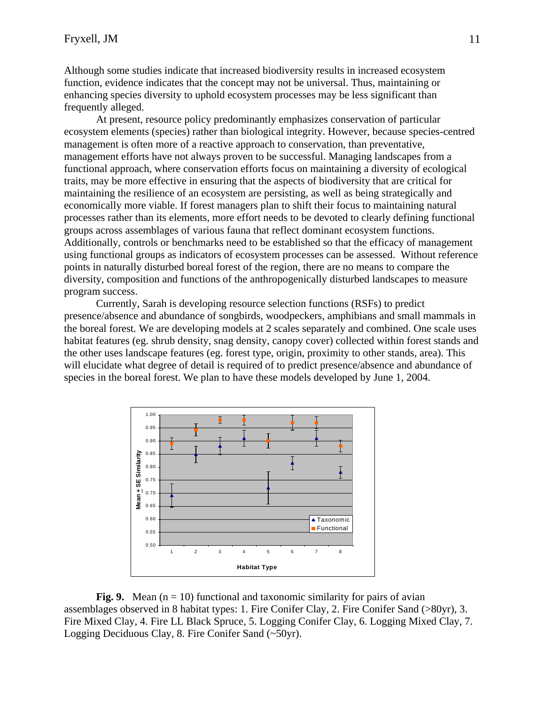Although some studies indicate that increased biodiversity results in increased ecosystem function, evidence indicates that the concept may not be universal. Thus, maintaining or enhancing species diversity to uphold ecosystem processes may be less significant than frequently alleged.

At present, resource policy predominantly emphasizes conservation of particular ecosystem elements (species) rather than biological integrity. However, because species-centred management is often more of a reactive approach to conservation, than preventative, management efforts have not always proven to be successful. Managing landscapes from a functional approach, where conservation efforts focus on maintaining a diversity of ecological traits, may be more effective in ensuring that the aspects of biodiversity that are critical for maintaining the resilience of an ecosystem are persisting, as well as being strategically and economically more viable. If forest managers plan to shift their focus to maintaining natural processes rather than its elements, more effort needs to be devoted to clearly defining functional groups across assemblages of various fauna that reflect dominant ecosystem functions. Additionally, controls or benchmarks need to be established so that the efficacy of management using functional groups as indicators of ecosystem processes can be assessed. Without reference points in naturally disturbed boreal forest of the region, there are no means to compare the diversity, composition and functions of the anthropogenically disturbed landscapes to measure program success.

Currently, Sarah is developing resource selection functions (RSFs) to predict presence/absence and abundance of songbirds, woodpeckers, amphibians and small mammals in the boreal forest. We are developing models at 2 scales separately and combined. One scale uses habitat features (eg. shrub density, snag density, canopy cover) collected within forest stands and the other uses landscape features (eg. forest type, origin, proximity to other stands, area). This will elucidate what degree of detail is required of to predict presence/absence and abundance of species in the boreal forest. We plan to have these models developed by June 1, 2004.



**Fig. 9.** Mean  $(n = 10)$  functional and taxonomic similarity for pairs of avian assemblages observed in 8 habitat types: 1. Fire Conifer Clay, 2. Fire Conifer Sand (>80yr), 3. Fire Mixed Clay, 4. Fire LL Black Spruce, 5. Logging Conifer Clay, 6. Logging Mixed Clay, 7. Logging Deciduous Clay, 8. Fire Conifer Sand (~50yr).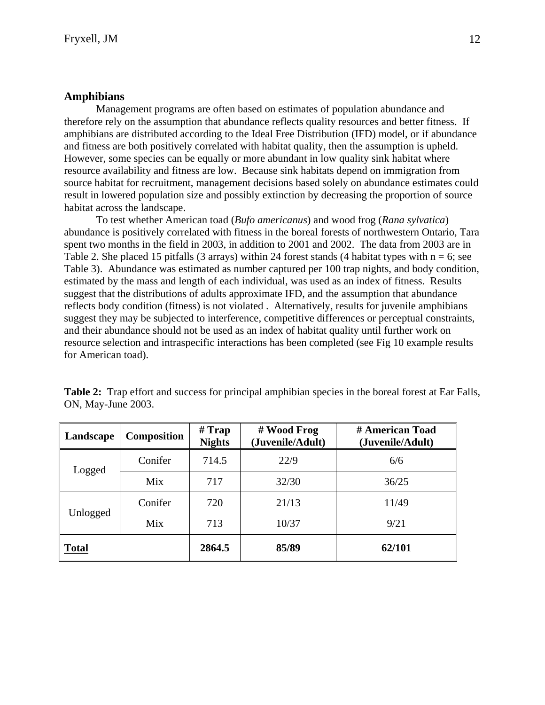### **Amphibians**

Management programs are often based on estimates of population abundance and therefore rely on the assumption that abundance reflects quality resources and better fitness. If amphibians are distributed according to the Ideal Free Distribution (IFD) model, or if abundance and fitness are both positively correlated with habitat quality, then the assumption is upheld. However, some species can be equally or more abundant in low quality sink habitat where resource availability and fitness are low. Because sink habitats depend on immigration from source habitat for recruitment, management decisions based solely on abundance estimates could result in lowered population size and possibly extinction by decreasing the proportion of source habitat across the landscape.

 To test whether American toad (*Bufo americanus*) and wood frog (*Rana sylvatica*) abundance is positively correlated with fitness in the boreal forests of northwestern Ontario, Tara spent two months in the field in 2003, in addition to 2001 and 2002. The data from 2003 are in Table 2. She placed 15 pitfalls (3 arrays) within 24 forest stands (4 habitat types with  $n = 6$ ; see Table 3). Abundance was estimated as number captured per 100 trap nights, and body condition, estimated by the mass and length of each individual, was used as an index of fitness. Results suggest that the distributions of adults approximate IFD, and the assumption that abundance reflects body condition (fitness) is not violated . Alternatively, results for juvenile amphibians suggest they may be subjected to interference, competitive differences or perceptual constraints, and their abundance should not be used as an index of habitat quality until further work on resource selection and intraspecific interactions has been completed (see Fig 10 example results for American toad).

|                    | <b>Table 2:</b> Trap effort and success for principal amphibian species in the boreal forest at Ear Falls, |  |  |  |
|--------------------|------------------------------------------------------------------------------------------------------------|--|--|--|
| ON, May-June 2003. |                                                                                                            |  |  |  |

| <b>Composition</b><br>Landscape |         | $#$ Trap<br><b>Nights</b> | # Wood Frog<br>(Juvenile/Adult) | # American Toad<br>(Juvenile/Adult) |
|---------------------------------|---------|---------------------------|---------------------------------|-------------------------------------|
| Logged                          | Conifer | 714.5                     | 22/9                            | 6/6                                 |
|                                 | Mix     | 717                       | 32/30                           | 36/25                               |
|                                 | Conifer | 720                       | 21/13                           | 11/49                               |
| Unlogged                        | Mix     | 713                       | 10/37                           | 9/21                                |
| <b>Total</b>                    |         | 2864.5                    | 85/89                           | 62/101                              |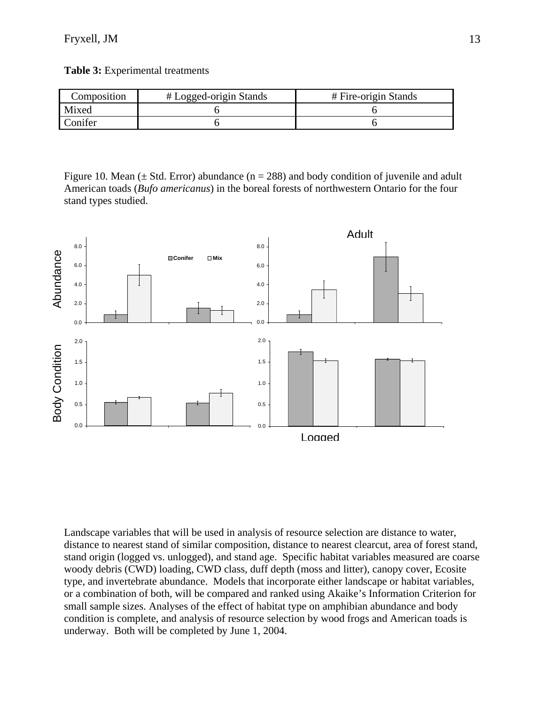**Table 3:** Experimental treatments

| Composition_ | # Logged-origin Stands | # Fire-origin Stands |  |  |
|--------------|------------------------|----------------------|--|--|
| Mixed        |                        |                      |  |  |
| onifer       |                        |                      |  |  |

Figure 10. Mean ( $\pm$  Std. Error) abundance (n = 288) and body condition of juvenile and adult American toads (*Bufo americanus*) in the boreal forests of northwestern Ontario for the four stand types studied.



Landscape variables that will be used in analysis of resource selection are distance to water, distance to nearest stand of similar composition, distance to nearest clearcut, area of forest stand, stand origin (logged vs. unlogged), and stand age. Specific habitat variables measured are coarse woody debris (CWD) loading, CWD class, duff depth (moss and litter), canopy cover, Ecosite type, and invertebrate abundance. Models that incorporate either landscape or habitat variables, or a combination of both, will be compared and ranked using Akaike's Information Criterion for small sample sizes. Analyses of the effect of habitat type on amphibian abundance and body condition is complete, and analysis of resource selection by wood frogs and American toads is underway. Both will be completed by June 1, 2004.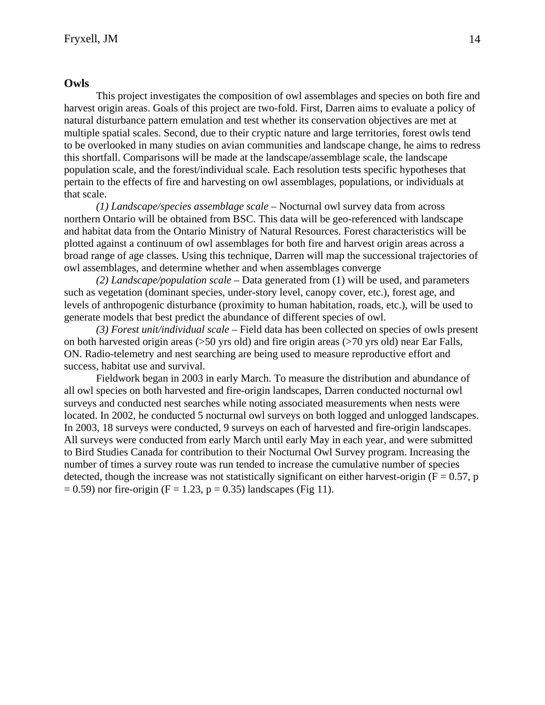#### **Owls**

 This project investigates the composition of owl assemblages and species on both fire and harvest origin areas. Goals of this project are two-fold. First, Darren aims to evaluate a policy of natural disturbance pattern emulation and test whether its conservation objectives are met at multiple spatial scales. Second, due to their cryptic nature and large territories, forest owls tend to be overlooked in many studies on avian communities and landscape change, he aims to redress this shortfall. Comparisons will be made at the landscape/assemblage scale, the landscape population scale, and the forest/individual scale. Each resolution tests specific hypotheses that pertain to the effects of fire and harvesting on owl assemblages, populations, or individuals at that scale.

*(1) Landscape/species assemblage scale* – Nocturnal owl survey data from across northern Ontario will be obtained from BSC. This data will be geo-referenced with landscape and habitat data from the Ontario Ministry of Natural Resources. Forest characteristics will be plotted against a continuum of owl assemblages for both fire and harvest origin areas across a broad range of age classes. Using this technique, Darren will map the successional trajectories of owl assemblages, and determine whether and when assemblages converge

*(2) Landscape/population scale* – Data generated from (1) will be used, and parameters such as vegetation (dominant species, under-story level, canopy cover, etc.), forest age, and levels of anthropogenic disturbance (proximity to human habitation, roads, etc.), will be used to generate models that best predict the abundance of different species of owl.

*(3) Forest unit/individual scale* – Field data has been collected on species of owls present on both harvested origin areas (>50 yrs old) and fire origin areas (>70 yrs old) near Ear Falls, ON. Radio-telemetry and nest searching are being used to measure reproductive effort and success, habitat use and survival.

Fieldwork began in 2003 in early March. To measure the distribution and abundance of all owl species on both harvested and fire-origin landscapes, Darren conducted nocturnal owl surveys and conducted nest searches while noting associated measurements when nests were located. In 2002, he conducted 5 nocturnal owl surveys on both logged and unlogged landscapes. In 2003, 18 surveys were conducted, 9 surveys on each of harvested and fire-origin landscapes. All surveys were conducted from early March until early May in each year, and were submitted to Bird Studies Canada for contribution to their Nocturnal Owl Survey program. Increasing the number of times a survey route was run tended to increase the cumulative number of species detected, though the increase was not statistically significant on either harvest-origin ( $F = 0.57$ , p  $= 0.59$ ) nor fire-origin (F = 1.23, p = 0.35) landscapes (Fig 11).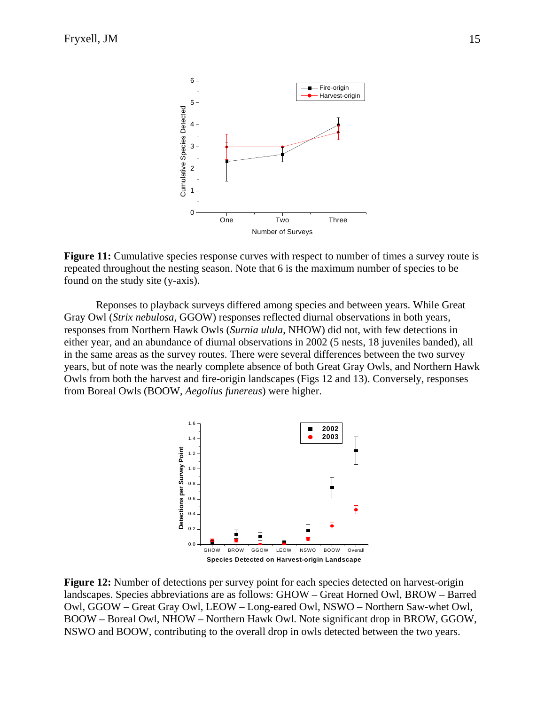

Figure 11: Cumulative species response curves with respect to number of times a survey route is repeated throughout the nesting season. Note that 6 is the maximum number of species to be found on the study site (y-axis).

Reponses to playback surveys differed among species and between years. While Great Gray Owl (*Strix nebulosa*, GGOW) responses reflected diurnal observations in both years, responses from Northern Hawk Owls (*Surnia ulula*, NHOW) did not, with few detections in either year, and an abundance of diurnal observations in 2002 (5 nests, 18 juveniles banded), all in the same areas as the survey routes. There were several differences between the two survey years, but of note was the nearly complete absence of both Great Gray Owls, and Northern Hawk Owls from both the harvest and fire-origin landscapes (Figs 12 and 13). Conversely, responses from Boreal Owls (BOOW, *Aegolius funereus*) were higher.



**Figure 12:** Number of detections per survey point for each species detected on harvest-origin landscapes. Species abbreviations are as follows: GHOW – Great Horned Owl, BROW – Barred Owl, GGOW – Great Gray Owl, LEOW – Long-eared Owl, NSWO – Northern Saw-whet Owl, BOOW – Boreal Owl, NHOW – Northern Hawk Owl. Note significant drop in BROW, GGOW, NSWO and BOOW, contributing to the overall drop in owls detected between the two years.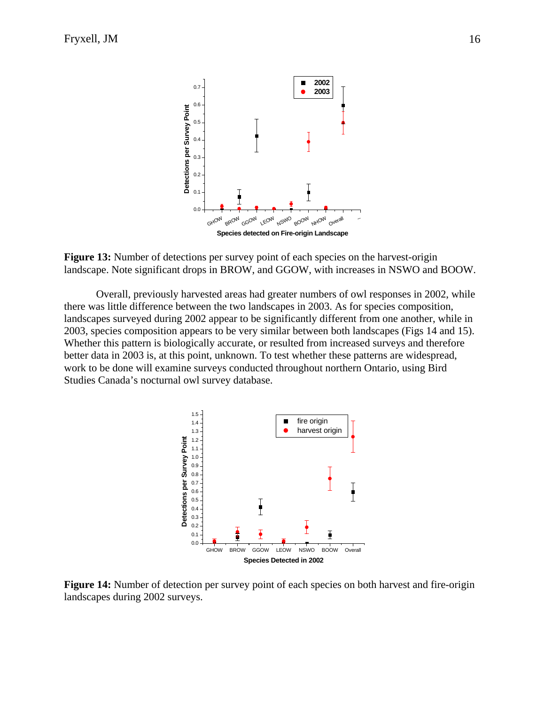

**Figure 13:** Number of detections per survey point of each species on the harvest-origin landscape. Note significant drops in BROW, and GGOW, with increases in NSWO and BOOW.

Overall, previously harvested areas had greater numbers of owl responses in 2002, while there was little difference between the two landscapes in 2003. As for species composition, landscapes surveyed during 2002 appear to be significantly different from one another, while in 2003, species composition appears to be very similar between both landscapes (Figs 14 and 15). Whether this pattern is biologically accurate, or resulted from increased surveys and therefore better data in 2003 is, at this point, unknown. To test whether these patterns are widespread, work to be done will examine surveys conducted throughout northern Ontario, using Bird Studies Canada's nocturnal owl survey database.



**Figure 14:** Number of detection per survey point of each species on both harvest and fire-origin landscapes during 2002 surveys.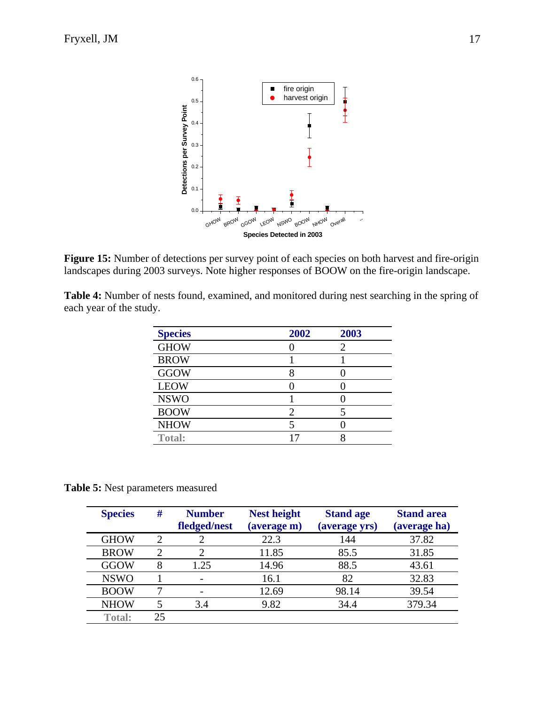

**Figure 15:** Number of detections per survey point of each species on both harvest and fire-origin landscapes during 2003 surveys. Note higher responses of BOOW on the fire-origin landscape.

| Table 4: Number of nests found, examined, and monitored during nest searching in the spring of |  |  |  |
|------------------------------------------------------------------------------------------------|--|--|--|
| each year of the study.                                                                        |  |  |  |

| <b>Species</b> | 2002 | 2003 |
|----------------|------|------|
| <b>GHOW</b>    |      | 2    |
| <b>BROW</b>    |      |      |
| <b>GGOW</b>    |      |      |
| <b>LEOW</b>    |      |      |
| <b>NSWO</b>    |      |      |
| <b>BOOW</b>    | 2    |      |
| <b>NHOW</b>    |      |      |
| <b>Total:</b>  | 17   |      |

**Table 5:** Nest parameters measured

| <b>Species</b> | #              | <b>Number</b><br>fledged/nest | <b>Nest height</b><br>(average m) | <b>Stand age</b><br>(average yrs) | <b>Stand area</b><br>(average ha) |
|----------------|----------------|-------------------------------|-----------------------------------|-----------------------------------|-----------------------------------|
| <b>GHOW</b>    | $\overline{c}$ |                               | 22.3                              | 144                               | 37.82                             |
| <b>BROW</b>    | 2              | ി                             | 11.85                             | 85.5                              | 31.85                             |
| GGOW           | 8              | 1.25                          | 14.96                             | 88.5                              | 43.61                             |
| <b>NSWO</b>    |                |                               | 16.1                              | 82                                | 32.83                             |
| <b>BOOW</b>    | ┑              |                               | 12.69                             | 98.14                             | 39.54                             |
| <b>NHOW</b>    |                | 3.4                           | 9.82                              | 34.4                              | 379.34                            |
| <b>Total:</b>  | 25             |                               |                                   |                                   |                                   |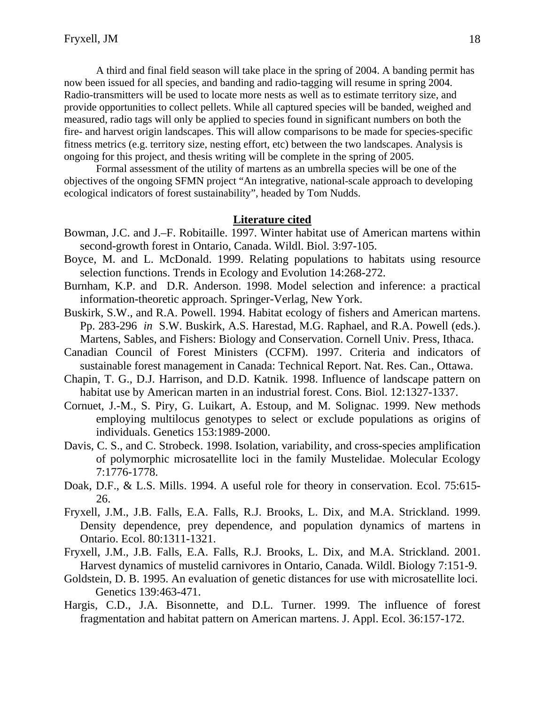A third and final field season will take place in the spring of 2004. A banding permit has now been issued for all species, and banding and radio-tagging will resume in spring 2004. Radio-transmitters will be used to locate more nests as well as to estimate territory size, and provide opportunities to collect pellets. While all captured species will be banded, weighed and measured, radio tags will only be applied to species found in significant numbers on both the fire- and harvest origin landscapes. This will allow comparisons to be made for species-specific fitness metrics (e.g. territory size, nesting effort, etc) between the two landscapes. Analysis is ongoing for this project, and thesis writing will be complete in the spring of 2005.

Formal assessment of the utility of martens as an umbrella species will be one of the objectives of the ongoing SFMN project "An integrative, national-scale approach to developing ecological indicators of forest sustainability", headed by Tom Nudds.

#### **Literature cited**

- Bowman, J.C. and J.–F. Robitaille. 1997. Winter habitat use of American martens within second-growth forest in Ontario, Canada. Wildl. Biol. 3:97-105.
- Boyce, M. and L. McDonald. 1999. Relating populations to habitats using resource selection functions. Trends in Ecology and Evolution 14:268-272.
- Burnham, K.P. and D.R. Anderson. 1998. Model selection and inference: a practical information-theoretic approach. Springer-Verlag, New York.
- Buskirk, S.W., and R.A. Powell. 1994. Habitat ecology of fishers and American martens. Pp. 283-296 *in* S.W. Buskirk, A.S. Harestad, M.G. Raphael, and R.A. Powell (eds.). Martens, Sables, and Fishers: Biology and Conservation. Cornell Univ. Press, Ithaca.
- Canadian Council of Forest Ministers (CCFM). 1997. Criteria and indicators of sustainable forest management in Canada: Technical Report. Nat. Res. Can., Ottawa.
- Chapin, T. G., D.J. Harrison, and D.D. Katnik. 1998. Influence of landscape pattern on habitat use by American marten in an industrial forest. Cons. Biol. 12:1327-1337.
- Cornuet, J.-M., S. Piry, G. Luikart, A. Estoup, and M. Solignac. 1999. New methods employing multilocus genotypes to select or exclude populations as origins of individuals. Genetics 153:1989-2000.
- Davis, C. S., and C. Strobeck. 1998. Isolation, variability, and cross-species amplification of polymorphic microsatellite loci in the family Mustelidae. Molecular Ecology 7:1776-1778.
- Doak, D.F., & L.S. Mills. 1994. A useful role for theory in conservation. Ecol. 75:615- 26.
- Fryxell, J.M., J.B. Falls, E.A. Falls, R.J. Brooks, L. Dix, and M.A. Strickland. 1999. Density dependence, prey dependence, and population dynamics of martens in Ontario. Ecol. 80:1311-1321.
- Fryxell, J.M., J.B. Falls, E.A. Falls, R.J. Brooks, L. Dix, and M.A. Strickland. 2001. Harvest dynamics of mustelid carnivores in Ontario, Canada. Wildl. Biology 7:151-9.
- Goldstein, D. B. 1995. An evaluation of genetic distances for use with microsatellite loci. Genetics 139:463-471.
- Hargis, C.D., J.A. Bisonnette, and D.L. Turner. 1999. The influence of forest fragmentation and habitat pattern on American martens. J. Appl. Ecol. 36:157-172.